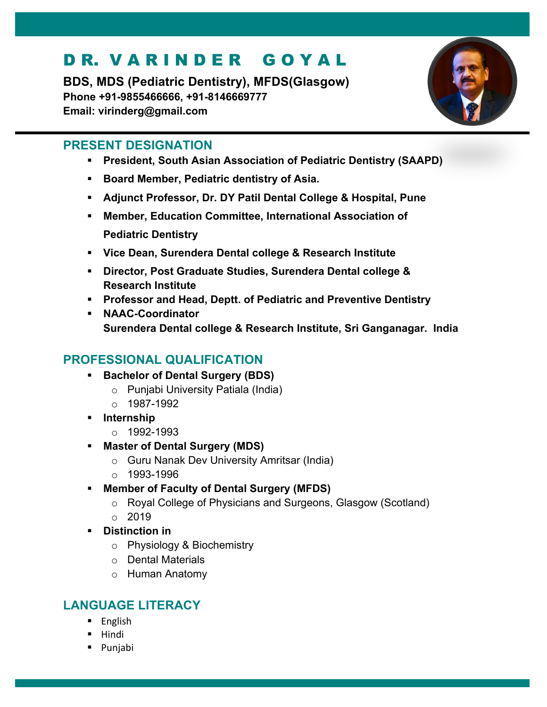# DR. VARINDER GOYAL

**BDS, MDS (Pediatric Dentistry), MFDS(Glasgow) Phone +91-9855466666, +91-8146669777 Email: virinderg@gmail.com**



## **PRESENT DESIGNATION**

- § **President, South Asian Association of Pediatric Dentistry (SAAPD)**
- Board Member, Pediatric dentistry of Asia.
- § **Adjunct Professor, Dr. DY Patil Dental College & Hospital, Pune**
- § **Member, Education Committee, International Association of Pediatric Dentistry**
- § **Vice Dean, Surendera Dental college & Research Institute**
- § **Director, Post Graduate Studies, Surendera Dental college & Research Institute**
- § **Professor and Head, Deptt. of Pediatric and Preventive Dentistry**
- § **NAAC-Coordinator Surendera Dental college & Research Institute, Sri Ganganagar. India**

# **PROFESSIONAL QUALIFICATION**

- § **Bachelor of Dental Surgery (BDS)** 
	- o Punjabi University Patiala (India)
	- $o$  1987-1992
- § **Internship** 
	- o 1992-1993
- § **Master of Dental Surgery (MDS)** 
	- o Guru Nanak Dev University Amritsar (India)
	- $\circ$  1993-1996
- § **Member of Faculty of Dental Surgery (MFDS)** 
	- o Royal College of Physicians and Surgeons, Glasgow (Scotland)
	- $\degree$  2019
- § **Distinction in**
	- o Physiology & Biochemistry
	- o Dental Materials
	- o Human Anatomy

# **LANGUAGE LITERACY**

- § English
- § Hindi
- § Punjabi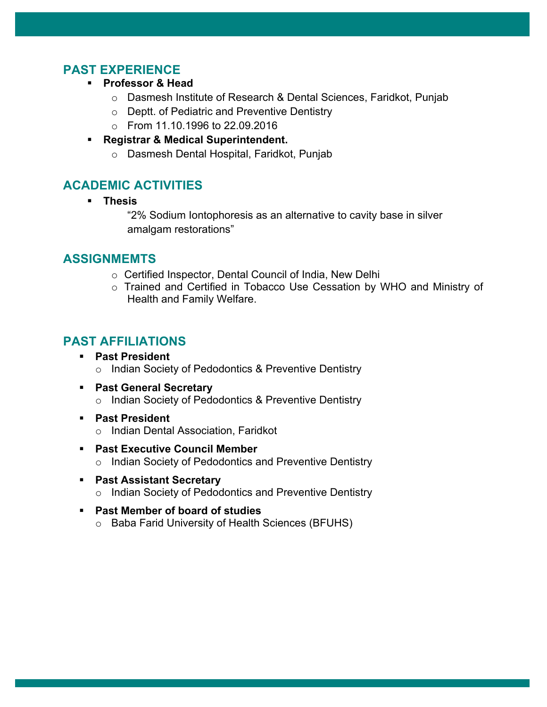## **PAST EXPERIENCE**

- § **Professor & Head** 
	- o Dasmesh Institute of Research & Dental Sciences, Faridkot, Punjab
	- o Deptt. of Pediatric and Preventive Dentistry
	- o From 11.10.1996 to 22.09.2016
- § **Registrar & Medical Superintendent.**
	- o Dasmesh Dental Hospital, Faridkot, Punjab

## **ACADEMIC ACTIVITIES**

§ **Thesis**

"2% Sodium Iontophoresis as an alternative to cavity base in silver amalgam restorations"

## **ASSIGNMEMTS**

- o Certified Inspector, Dental Council of India, New Delhi
- o Trained and Certified in Tobacco Use Cessation by WHO and Ministry of Health and Family Welfare.

## **PAST AFFILIATIONS**

- § **Past President**
	- o Indian Society of Pedodontics & Preventive Dentistry
- § **Past General Secretary** o Indian Society of Pedodontics & Preventive Dentistry
- § **Past President**
	- o Indian Dental Association, Faridkot
- § **Past Executive Council Member** o Indian Society of Pedodontics and Preventive Dentistry
- **Past Assistant Secretary** 
	- o Indian Society of Pedodontics and Preventive Dentistry
- § **Past Member of board of studies**
	- o Baba Farid University of Health Sciences (BFUHS)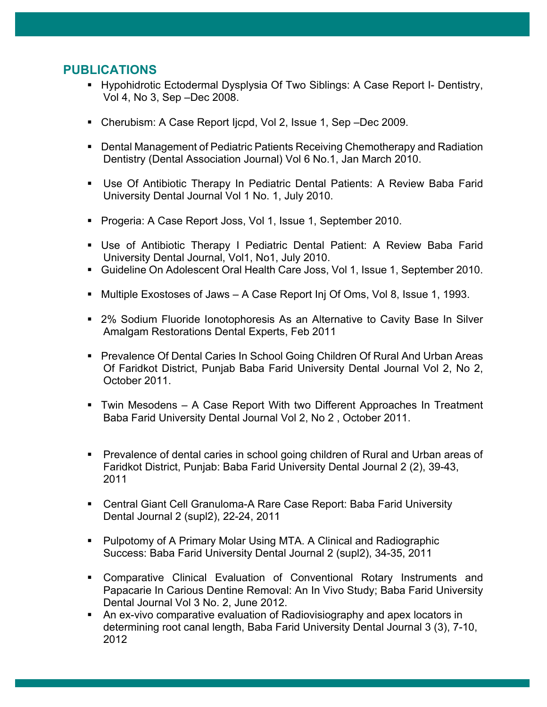#### **PUBLICATIONS**

- Hypohidrotic Ectodermal Dysplysia Of Two Siblings: A Case Report I- Dentistry, Vol 4, No 3, Sep –Dec 2008.
- Cherubism: A Case Report Ijcpd, Vol 2, Issue 1, Sep –Dec 2009.
- Dental Management of Pediatric Patients Receiving Chemotherapy and Radiation Dentistry (Dental Association Journal) Vol 6 No.1, Jan March 2010.
- Use Of Antibiotic Therapy In Pediatric Dental Patients: A Review Baba Farid University Dental Journal Vol 1 No. 1, July 2010.
- Progeria: A Case Report Joss, Vol 1, Issue 1, September 2010.
- § Use of Antibiotic Therapy I Pediatric Dental Patient: A Review Baba Farid University Dental Journal, Vol1, No1, July 2010.
- Guideline On Adolescent Oral Health Care Joss, Vol 1, Issue 1, September 2010.
- Multiple Exostoses of Jaws A Case Report Inj Of Oms, Vol 8, Issue 1, 1993.
- 2% Sodium Fluoride Ionotophoresis As an Alternative to Cavity Base In Silver Amalgam Restorations Dental Experts, Feb 2011
- Prevalence Of Dental Caries In School Going Children Of Rural And Urban Areas Of Faridkot District, Punjab Baba Farid University Dental Journal Vol 2, No 2, October 2011.
- § Twin Mesodens A Case Report With two Different Approaches In Treatment Baba Farid University Dental Journal Vol 2, No 2 , October 2011.
- Prevalence of dental caries in school going children of Rural and Urban areas of Faridkot District, Punjab: Baba Farid University Dental Journal 2 (2), 39-43, 2011
- Central Giant Cell Granuloma-A Rare Case Report: Baba Farid University Dental Journal 2 (supl2), 22-24, 2011
- Pulpotomy of A Primary Molar Using MTA. A Clinical and Radiographic Success: Baba Farid University Dental Journal 2 (supl2), 34-35, 2011
- § Comparative Clinical Evaluation of Conventional Rotary Instruments and Papacarie In Carious Dentine Removal: An In Vivo Study; Baba Farid University Dental Journal Vol 3 No. 2, June 2012.
- An ex-vivo comparative evaluation of Radiovisiography and apex locators in determining root canal length, Baba Farid University Dental Journal 3 (3), 7-10, 2012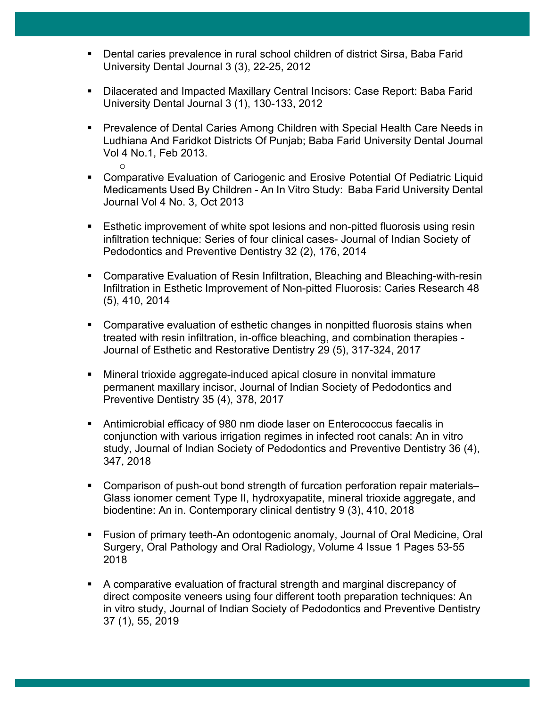- Dental caries prevalence in rural school children of district Sirsa, Baba Farid University Dental Journal 3 (3), 22-25, 2012
- Dilacerated and Impacted Maxillary Central Incisors: Case Report: Baba Farid University Dental Journal 3 (1), 130-133, 2012
- Prevalence of Dental Caries Among Children with Special Health Care Needs in Ludhiana And Faridkot Districts Of Punjab; Baba Farid University Dental Journal Vol 4 No.1, Feb 2013.
	- o
- Comparative Evaluation of Cariogenic and Erosive Potential Of Pediatric Liquid Medicaments Used By Children - An In Vitro Study: Baba Farid University Dental Journal Vol 4 No. 3, Oct 2013
- Esthetic improvement of white spot lesions and non-pitted fluorosis using resin infiltration technique: Series of four clinical cases- Journal of Indian Society of Pedodontics and Preventive Dentistry 32 (2), 176, 2014
- Comparative Evaluation of Resin Infiltration, Bleaching and Bleaching-with-resin Infiltration in Esthetic Improvement of Non-pitted Fluorosis: Caries Research 48 (5), 410, 2014
- § Comparative evaluation of esthetic changes in nonpitted fluorosis stains when treated with resin infiltration, in-office bleaching, and combination therapies - Journal of Esthetic and Restorative Dentistry 29 (5), 317-324, 2017
- § Mineral trioxide aggregate-induced apical closure in nonvital immature permanent maxillary incisor, Journal of Indian Society of Pedodontics and Preventive Dentistry 35 (4), 378, 2017
- Antimicrobial efficacy of 980 nm diode laser on Enterococcus faecalis in conjunction with various irrigation regimes in infected root canals: An in vitro study, Journal of Indian Society of Pedodontics and Preventive Dentistry 36 (4), 347, 2018
- Comparison of push-out bond strength of furcation perforation repair materials– Glass ionomer cement Type II, hydroxyapatite, mineral trioxide aggregate, and biodentine: An in. Contemporary clinical dentistry 9 (3), 410, 2018
- Fusion of primary teeth-An odontogenic anomaly, Journal of Oral Medicine, Oral Surgery, Oral Pathology and Oral Radiology, Volume 4 Issue 1 Pages 53-55 2018
- A comparative evaluation of fractural strength and marginal discrepancy of direct composite veneers using four different tooth preparation techniques: An in vitro study, Journal of Indian Society of Pedodontics and Preventive Dentistry 37 (1), 55, 2019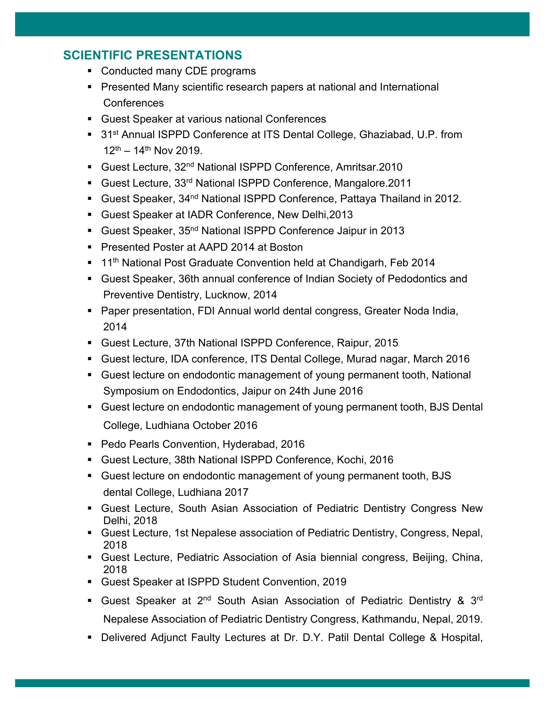## **SCIENTIFIC PRESENTATIONS**

- Conducted many CDE programs
- Presented Many scientific research papers at national and International **Conferences**
- Guest Speaker at various national Conferences
- 31<sup>st</sup> Annual ISPPD Conference at ITS Dental College, Ghaziabad, U.P. from  $12^{th}$  – 14<sup>th</sup> Nov 2019.
- Guest Lecture, 32<sup>nd</sup> National ISPPD Conference, Amritsar.2010
- Guest Lecture, 33<sup>rd</sup> National ISPPD Conference, Mangalore.2011
- Guest Speaker, 34<sup>nd</sup> National ISPPD Conference, Pattaya Thailand in 2012.
- § Guest Speaker at IADR Conference, New Delhi,2013
- Guest Speaker, 35<sup>nd</sup> National ISPPD Conference Jaipur in 2013
- Presented Poster at AAPD 2014 at Boston
- 11<sup>th</sup> National Post Graduate Convention held at Chandigarh, Feb 2014
- Guest Speaker, 36th annual conference of Indian Society of Pedodontics and Preventive Dentistry, Lucknow, 2014
- Paper presentation, FDI Annual world dental congress, Greater Noda India, 2014
- § Guest Lecture, 37th National ISPPD Conference, Raipur, 2015
- § Guest lecture, IDA conference, ITS Dental College, Murad nagar, March 2016
- § Guest lecture on endodontic management of young permanent tooth, National Symposium on Endodontics, Jaipur on 24th June 2016
- Guest lecture on endodontic management of young permanent tooth, BJS Dental College, Ludhiana October 2016
- Pedo Pearls Convention, Hyderabad, 2016
- Guest Lecture, 38th National ISPPD Conference, Kochi, 2016
- § Guest lecture on endodontic management of young permanent tooth, BJS dental College, Ludhiana 2017
- § Guest Lecture, South Asian Association of Pediatric Dentistry Congress New Delhi, 2018
- Guest Lecture, 1st Nepalese association of Pediatric Dentistry, Congress, Nepal, 2018
- Guest Lecture, Pediatric Association of Asia biennial congress, Beijing, China, 2018
- § Guest Speaker at ISPPD Student Convention, 2019
- Guest Speaker at 2<sup>nd</sup> South Asian Association of Pediatric Dentistry & 3<sup>rd</sup> Nepalese Association of Pediatric Dentistry Congress, Kathmandu, Nepal, 2019.
- Delivered Adjunct Faulty Lectures at Dr. D.Y. Patil Dental College & Hospital,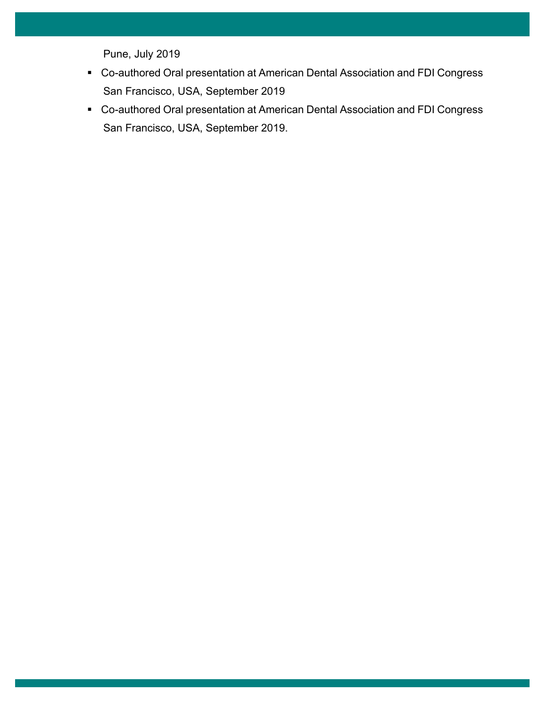Pune, July 2019

- Co-authored Oral presentation at American Dental Association and FDI Congress San Francisco, USA, September 2019
- Co-authored Oral presentation at American Dental Association and FDI Congress San Francisco, USA, September 2019.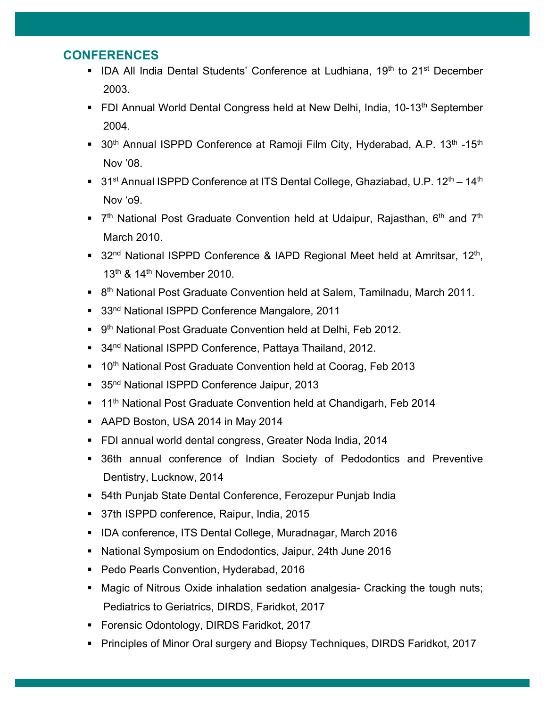## **CONFERENCES**

- IDA All India Dental Students' Conference at Ludhiana, 19<sup>th</sup> to 21<sup>st</sup> December 2003.
- FDI Annual World Dental Congress held at New Delhi, India, 10-13<sup>th</sup> September 2004.
- 30<sup>th</sup> Annual ISPPD Conference at Ramoji Film City, Hyderabad, A.P. 13<sup>th</sup> -15<sup>th</sup> Nov '08.
- 31<sup>st</sup> Annual ISPPD Conference at ITS Dental College, Ghaziabad, U.P. 12<sup>th</sup> 14<sup>th</sup> Nov 'o9.
- **•**  $7<sup>th</sup>$  National Post Graduate Convention held at Udaipur, Rajasthan, 6<sup>th</sup> and 7<sup>th</sup> March 2010.
- 32<sup>nd</sup> National ISPPD Conference & IAPD Regional Meet held at Amritsar, 12<sup>th</sup>, 13<sup>th</sup> & 14<sup>th</sup> November 2010.
- 8<sup>th</sup> National Post Graduate Convention held at Salem, Tamilnadu, March 2011.
- 33<sup>nd</sup> National ISPPD Conference Mangalore, 2011
- 9<sup>th</sup> National Post Graduate Convention held at Delhi, Feb 2012.
- 34<sup>nd</sup> National ISPPD Conference, Pattaya Thailand, 2012.
- 10<sup>th</sup> National Post Graduate Convention held at Coorag, Feb 2013
- 35<sup>nd</sup> National ISPPD Conference Jaipur, 2013
- 11<sup>th</sup> National Post Graduate Convention held at Chandigarh, Feb 2014
- § AAPD Boston, USA 2014 in May 2014
- FDI annual world dental congress, Greater Noda India, 2014
- 36th annual conference of Indian Society of Pedodontics and Preventive Dentistry, Lucknow, 2014
- 54th Punjab State Dental Conference, Ferozepur Punjab India
- 37th ISPPD conference, Raipur, India, 2015
- § IDA conference, ITS Dental College, Muradnagar, March 2016
- National Symposium on Endodontics, Jaipur, 24th June 2016
- Pedo Pearls Convention, Hyderabad, 2016
- Magic of Nitrous Oxide inhalation sedation analgesia- Cracking the tough nuts; Pediatrics to Geriatrics, DIRDS, Faridkot, 2017
- Forensic Odontology, DIRDS Faridkot, 2017
- § Principles of Minor Oral surgery and Biopsy Techniques, DIRDS Faridkot, 2017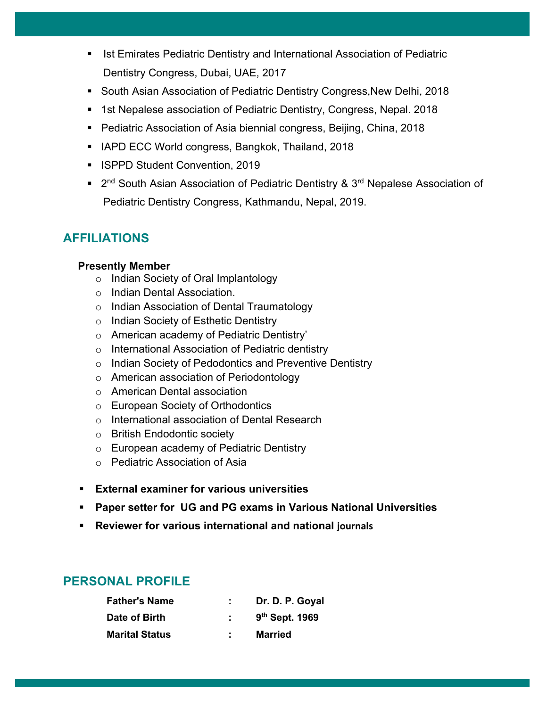- Ist Emirates Pediatric Dentistry and International Association of Pediatric Dentistry Congress, Dubai, UAE, 2017
- South Asian Association of Pediatric Dentistry Congress, New Delhi, 2018
- 1st Nepalese association of Pediatric Dentistry, Congress, Nepal. 2018
- Pediatric Association of Asia biennial congress, Beijing, China, 2018
- IAPD ECC World congress, Bangkok, Thailand, 2018
- ISPPD Student Convention, 2019
- 2<sup>nd</sup> South Asian Association of Pediatric Dentistry & 3<sup>rd</sup> Nepalese Association of Pediatric Dentistry Congress, Kathmandu, Nepal, 2019.

# **AFFILIATIONS**

#### **Presently Member**

- o Indian Society of Oral Implantology
- o Indian Dental Association.
- o Indian Association of Dental Traumatology
- o Indian Society of Esthetic Dentistry
- o American academy of Pediatric Dentistry'
- o International Association of Pediatric dentistry
- o Indian Society of Pedodontics and Preventive Dentistry
- o American association of Periodontology
- o American Dental association
- o European Society of Orthodontics
- o International association of Dental Research
- o British Endodontic society
- o European academy of Pediatric Dentistry
- o Pediatric Association of Asia
- § **External examiner for various universities**
- § **Paper setter for UG and PG exams in Various National Universities**
- § **Reviewer for various international and national journals**

# **PERSONAL PROFILE**

| <b>Father's Name</b>  | Dr. D. P. Goyal            |
|-----------------------|----------------------------|
| Date of Birth         | 9 <sup>th</sup> Sept. 1969 |
| <b>Marital Status</b> | <b>Married</b>             |